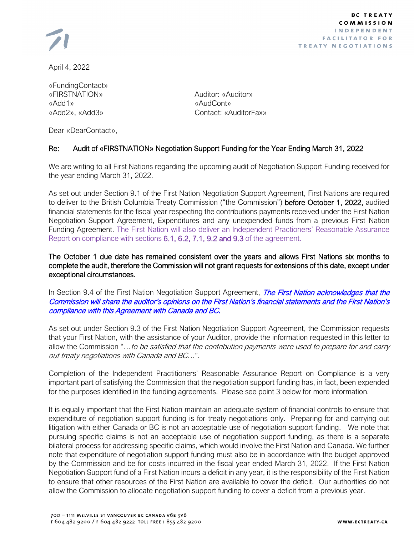

**BC TREATY** COMMISSION **INDEPENDENT FACILITATOR FOR TREATY NEGOTIATIONS** 

April 4, 2022

«FundingContact» «FIRSTNATION» Auditor: «Auditor» «Add1» «AudCont»

«Add2», «Add3» Contact: «AuditorFax»

Dear «DearContact»,

## Re: Audit of «FIRSTNATION» Negotiation Support Funding for the Year Ending March 31, 2022

We are writing to all First Nations regarding the upcoming audit of Negotiation Support Funding received for the year ending March 31, 2022.

As set out under Section 9.1 of the First Nation Negotiation Support Agreement, First Nations are required to deliver to the British Columbia Treaty Commission ("the Commission") before October 1, 2022, audited financial statements for the fiscal year respecting the contributions payments received under the First Nation Negotiation Support Agreement, Expenditures and any unexpended funds from a previous First Nation Funding Agreement. The First Nation will also deliver an Independent Practioners' Reasonable Assurance Report on compliance with sections 6.1, 6.2, 7.1, 9.2 and 9.3 of the agreement.

The October 1 due date has remained consistent over the years and allows First Nations six months to complete the audit, therefore the Commission will not grant requests for extensions of this date, except under exceptional circumstances.

In Section 9.4 of the First Nation Negotiation Support Agreement, *The First Nation acknowledges that the* Commission will share the auditor's opinions on the First Nation's financial statements and the First Nation's compliance with this Agreement with Canada and BC.

As set out under Section 9.3 of the First Nation Negotiation Support Agreement, the Commission requests that your First Nation, with the assistance of your Auditor, provide the information requested in this letter to allow the Commission "...to be satisfied that the contribution payments were used to prepare for and carry out treaty negotiations with Canada and BC…".

Completion of the Independent Practitioners' Reasonable Assurance Report on Compliance is a very important part of satisfying the Commission that the negotiation support funding has, in fact, been expended for the purposes identified in the funding agreements. Please see point 3 below for more information.

It is equally important that the First Nation maintain an adequate system of financial controls to ensure that expenditure of negotiation support funding is for treaty negotiations only. Preparing for and carrying out litigation with either Canada or BC is not an acceptable use of negotiation support funding. We note that pursuing specific claims is not an acceptable use of negotiation support funding, as there is a separate bilateral process for addressing specific claims, which would involve the First Nation and Canada. We further note that expenditure of negotiation support funding must also be in accordance with the budget approved by the Commission and be for costs incurred in the fiscal year ended March 31, 2022. If the First Nation Negotiation Support fund of a First Nation incurs a deficit in any year, it is the responsibility of the First Nation to ensure that other resources of the First Nation are available to cover the deficit. Our authorities do not allow the Commission to allocate negotiation support funding to cover a deficit from a previous year.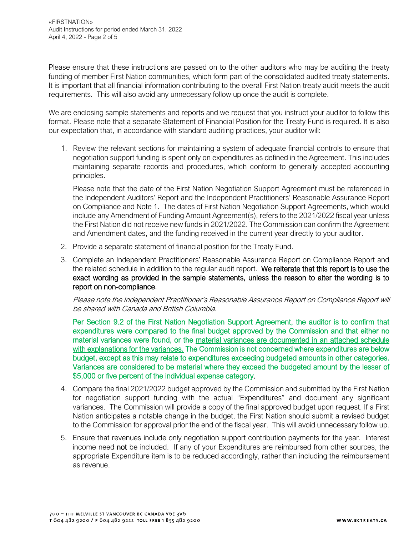Please ensure that these instructions are passed on to the other auditors who may be auditing the treaty funding of member First Nation communities, which form part of the consolidated audited treaty statements. It is important that all financial information contributing to the overall First Nation treaty audit meets the audit requirements. This will also avoid any unnecessary follow up once the audit is complete.

We are enclosing sample statements and reports and we request that you instruct your auditor to follow this format. Please note that a separate Statement of Financial Position for the Treaty Fund is required. It is also our expectation that, in accordance with standard auditing practices, your auditor will:

1. Review the relevant sections for maintaining a system of adequate financial controls to ensure that negotiation support funding is spent only on expenditures as defined in the Agreement. This includes maintaining separate records and procedures, which conform to generally accepted accounting principles.

Please note that the date of the First Nation Negotiation Support Agreement must be referenced in the Independent Auditors' Report and the Independent Practitioners' Reasonable Assurance Report on Compliance and Note 1. The dates of First Nation Negotiation Support Agreements, which would include any Amendment of Funding Amount Agreement(s), refers to the 2021/2022 fiscal year unless the First Nation did not receive new funds in 2021/2022. The Commission can confirm the Agreement and Amendment dates, and the funding received in the current year directly to your auditor.

- 2. Provide a separate statement of financial position for the Treaty Fund.
- 3. Complete an Independent Practitioners' Reasonable Assurance Report on Compliance Report and the related schedule in addition to the regular audit report. We reiterate that this report is to use the exact wording as provided in the sample statements, unless the reason to alter the wording is to report on non-compliance.

Please note the Independent Practitioner's Reasonable Assurance Report on Compliance Report will be shared with Canada and British Columbia.

Per Section 9.2 of the First Nation Negotiation Support Agreement, the auditor is to confirm that expenditures were compared to the final budget approved by the Commission and that either no material variances were found, or the material variances are documented in an attached schedule with explanations for the variances. The Commission is not concerned where expenditures are below budget, except as this may relate to expenditures exceeding budgeted amounts in other categories. Variances are considered to be material where they exceed the budgeted amount by the lesser of \$5,000 or five percent of the individual expense category.

- 4. Compare the final 2021/2022 budget approved by the Commission and submitted by the First Nation for negotiation support funding with the actual "Expenditures" and document any significant variances. The Commission will provide a copy of the final approved budget upon request. If a First Nation anticipates a notable change in the budget, the First Nation should submit a revised budget to the Commission for approval prior the end of the fiscal year. This will avoid unnecessary follow up.
- 5. Ensure that revenues include only negotiation support contribution payments for the year. Interest income need not be included. If any of your Expenditures are reimbursed from other sources, the appropriate Expenditure item is to be reduced accordingly, rather than including the reimbursement as revenue.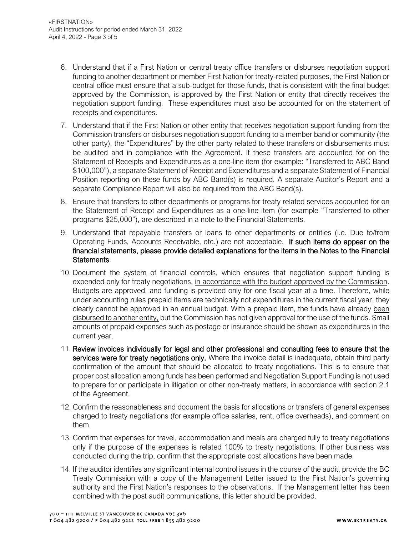- 6. Understand that if a First Nation or central treaty office transfers or disburses negotiation support funding to another department or member First Nation for treaty-related purposes, the First Nation or central office must ensure that a sub-budget for those funds, that is consistent with the final budget approved by the Commission, is approved by the First Nation or entity that directly receives the negotiation support funding. These expenditures must also be accounted for on the statement of receipts and expenditures.
- 7. Understand that if the First Nation or other entity that receives negotiation support funding from the Commission transfers or disburses negotiation support funding to a member band or community (the other party), the "Expenditures" by the other party related to these transfers or disbursements must be audited and in compliance with the Agreement. If these transfers are accounted for on the Statement of Receipts and Expenditures as a one-line item (for example: "Transferred to ABC Band \$100,000"), a separate Statement of Receipt and Expenditures and a separate Statement of Financial Position reporting on these funds by ABC Band(s) is required. A separate Auditor's Report and a separate Compliance Report will also be required from the ABC Band(s).
- 8. Ensure that transfers to other departments or programs for treaty related services accounted for on the Statement of Receipt and Expenditures as a one-line item (for example "Transferred to other programs \$25,000"), are described in a note to the Financial Statements.
- 9. Understand that repayable transfers or loans to other departments or entities (i.e. Due to/from Operating Funds, Accounts Receivable, etc.) are not acceptable. If such items do appear on the financial statements, please provide detailed explanations for the items in the Notes to the Financial Statements.
- 10. Document the system of financial controls, which ensures that negotiation support funding is expended only for treaty negotiations, in accordance with the budget approved by the Commission. Budgets are approved, and funding is provided only for one fiscal year at a time. Therefore, while under accounting rules prepaid items are technically not expenditures in the current fiscal year, they clearly cannot be approved in an annual budget. With a prepaid item, the funds have already been disbursed to another entity, but the Commission has not given approval for the use of the funds. Small amounts of prepaid expenses such as postage or insurance should be shown as expenditures in the current year.
- 11. Review invoices individually for legal and other professional and consulting fees to ensure that the services were for treaty negotiations only. Where the invoice detail is inadequate, obtain third party confirmation of the amount that should be allocated to treaty negotiations. This is to ensure that proper cost allocation among funds has been performed and Negotiation Support Funding is not used to prepare for or participate in litigation or other non-treaty matters, in accordance with section 2.1 of the Agreement.
- 12. Confirm the reasonableness and document the basis for allocations or transfers of general expenses charged to treaty negotiations (for example office salaries, rent, office overheads), and comment on them.
- 13. Confirm that expenses for travel, accommodation and meals are charged fully to treaty negotiations only if the purpose of the expenses is related 100% to treaty negotiations. If other business was conducted during the trip, confirm that the appropriate cost allocations have been made.
- 14. If the auditor identifies any significant internal control issues in the course of the audit, provide the BC Treaty Commission with a copy of the Management Letter issued to the First Nation's governing authority and the First Nation's responses to the observations. If the Management letter has been combined with the post audit communications, this letter should be provided.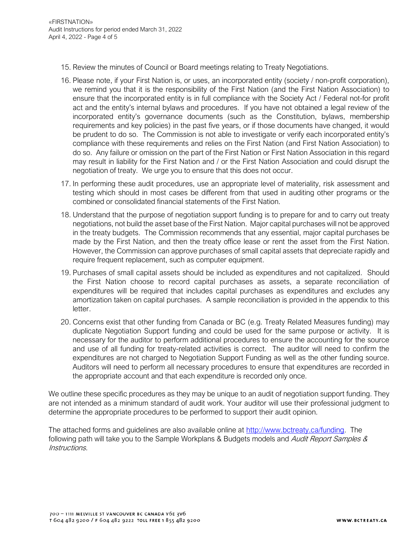- 15. Review the minutes of Council or Board meetings relating to Treaty Negotiations.
- 16. Please note, if your First Nation is, or uses, an incorporated entity (society / non-profit corporation), we remind you that it is the responsibility of the First Nation (and the First Nation Association) to ensure that the incorporated entity is in full compliance with the Society Act / Federal not-for profit act and the entity's internal bylaws and procedures. If you have not obtained a legal review of the incorporated entity's governance documents (such as the Constitution, bylaws, membership requirements and key policies) in the past five years, or if those documents have changed, it would be prudent to do so. The Commission is not able to investigate or verify each incorporated entity's compliance with these requirements and relies on the First Nation (and First Nation Association) to do so. Any failure or omission on the part of the First Nation or First Nation Association in this regard may result in liability for the First Nation and / or the First Nation Association and could disrupt the negotiation of treaty. We urge you to ensure that this does not occur.
- 17. In performing these audit procedures, use an appropriate level of materiality, risk assessment and testing which should in most cases be different from that used in auditing other programs or the combined or consolidated financial statements of the First Nation.
- 18. Understand that the purpose of negotiation support funding is to prepare for and to carry out treaty negotiations, not build the asset base of the First Nation. Major capital purchases will not be approved in the treaty budgets. The Commission recommends that any essential, major capital purchases be made by the First Nation, and then the treaty office lease or rent the asset from the First Nation. However, the Commission can approve purchases of small capital assets that depreciate rapidly and require frequent replacement, such as computer equipment.
- 19. Purchases of small capital assets should be included as expenditures and not capitalized. Should the First Nation choose to record capital purchases as assets, a separate reconciliation of expenditures will be required that includes capital purchases as expenditures and excludes any amortization taken on capital purchases. A sample reconciliation is provided in the appendix to this letter.
- 20. Concerns exist that other funding from Canada or BC (e.g. Treaty Related Measures funding) may duplicate Negotiation Support funding and could be used for the same purpose or activity. It is necessary for the auditor to perform additional procedures to ensure the accounting for the source and use of all funding for treaty-related activities is correct. The auditor will need to confirm the expenditures are not charged to Negotiation Support Funding as well as the other funding source. Auditors will need to perform all necessary procedures to ensure that expenditures are recorded in the appropriate account and that each expenditure is recorded only once.

We outline these specific procedures as they may be unique to an audit of negotiation support funding. They are not intended as a minimum standard of audit work. Your auditor will use their professional judgment to determine the appropriate procedures to be performed to support their audit opinion.

The attached forms and guidelines are also available online at [http://www.bctreaty.ca/funding.](http://www.bctreaty.ca/funding) The following path will take you to the Sample Workplans & Budgets models and *Audit Report Samples &* Instructions.